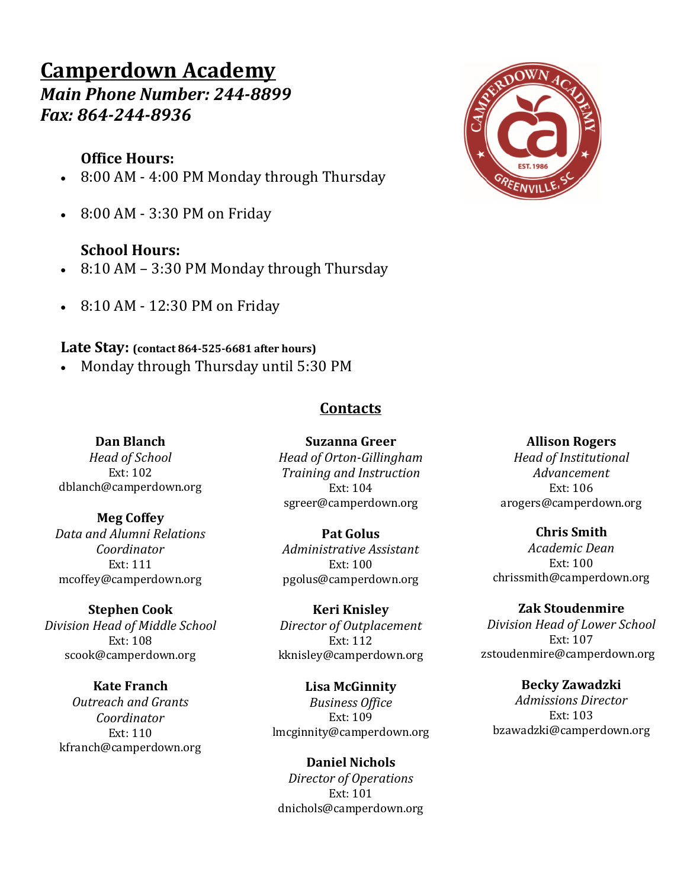# **Camperdown Academy**

*Main Phone Number: 244-8899 Fax: 864-244-8936*

## **Office Hours:**

- 8:00 AM 4:00 PM Monday through Thursday
- 8:00 AM 3:30 PM on Friday

## **School Hours:**

- $\cdot$  8:10 AM 3:30 PM Monday through Thursday
- 8:10 AM 12:30 PM on Friday

## Late Stay: (contact 864-525-6681 after hours)

Monday through Thursday until 5:30 PM

## **Contacts**

#### **Dan Blanch**

*Head of School* Ext: 102 dblanch@camperdown.org 

# **Meg Coffey**

*Data and Alumni Relations Coordinator* Ext: 111 mcoffey@camperdown.org

#### **Stephen Cook**

*Division Head of Middle School* Ext: 108 scook@camperdown.org

# **Kate Franch**

*Outreach and Grants Coordinator*  $Ext: 110$ kfranch@camperdown.org

**Suzanna Greer** *Head of Orton-Gillingham Training and Instruction* Ext: 104 sgreer@camperdown.org

#### **Pat Golus** *Administrative Assistant* Ext: 100 pgolus@camperdown.org

**Keri Knisley** *Director of Outplacement* Ext: 112 kknisley@camperdown.org

#### **Lisa McGinnity** *Business Office* Ext: 109 lmcginnity@camperdown.org

**Daniel Nichols** *Director of Operations* Ext: 101 dnichols@camperdown.org

#### **Allison Rogers**

*Head of Institutional Advancement* Ext: 106 arogers@camperdown.org

#### **Chris Smith**

*Academic Dean* Ext: 100 chrissmith@camperdown.org

#### **Zak Stoudenmire**

*Division Head of Lower School* Ext: 107 zstoudenmire@camperdown.org

## **Becky Zawadzki**

*Admissions Director* Ext: 103 bzawadzki@camperdown.org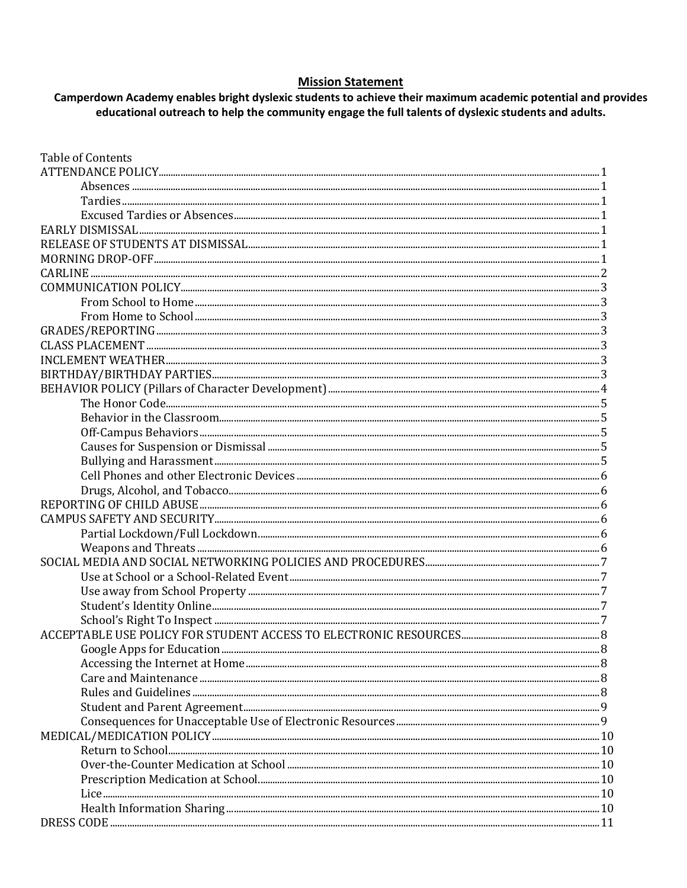#### **Mission Statement**

Camperdown Academy enables bright dyslexic students to achieve their maximum academic potential and provides educational outreach to help the community engage the full talents of dyslexic students and adults.

| <b>Table of Contents</b> |  |
|--------------------------|--|
|                          |  |
|                          |  |
|                          |  |
|                          |  |
|                          |  |
|                          |  |
|                          |  |
|                          |  |
|                          |  |
|                          |  |
|                          |  |
|                          |  |
|                          |  |
|                          |  |
|                          |  |
|                          |  |
|                          |  |
|                          |  |
|                          |  |
|                          |  |
|                          |  |
|                          |  |
|                          |  |
|                          |  |
|                          |  |
|                          |  |
|                          |  |
|                          |  |
|                          |  |
|                          |  |
|                          |  |
|                          |  |
|                          |  |
|                          |  |
|                          |  |
|                          |  |
|                          |  |
|                          |  |
|                          |  |
|                          |  |
|                          |  |
|                          |  |
|                          |  |
|                          |  |
|                          |  |
|                          |  |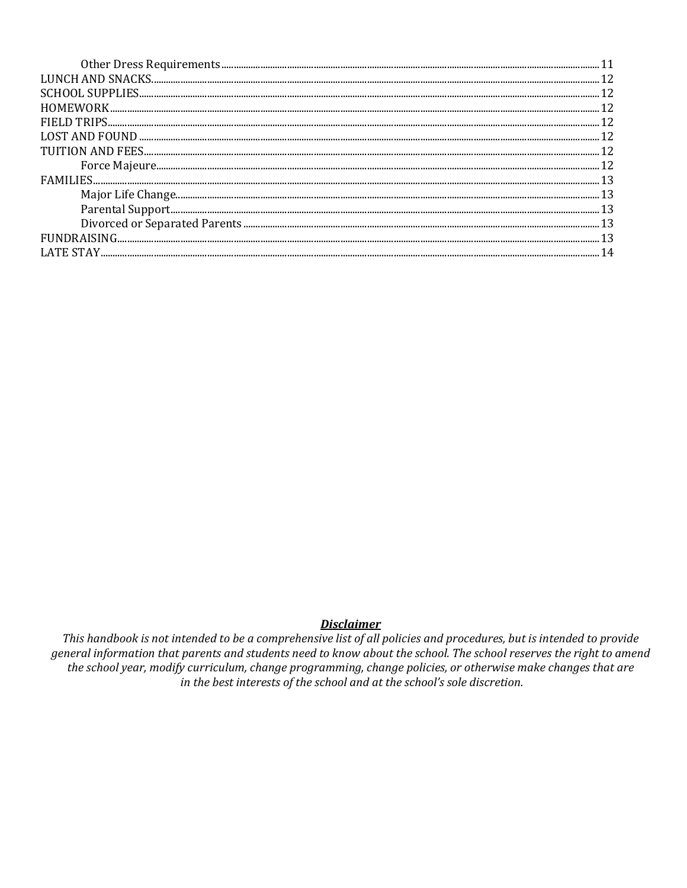#### **Disclaimer**

This handbook is not intended to be a comprehensive list of all policies and procedures, but is intended to provide general information that parents and students need to know about the school. The school reserves the right to amend the school year, modify curriculum, change programming, change policies, or otherwise make changes that are in the best interests of the school and at the school's sole discretion.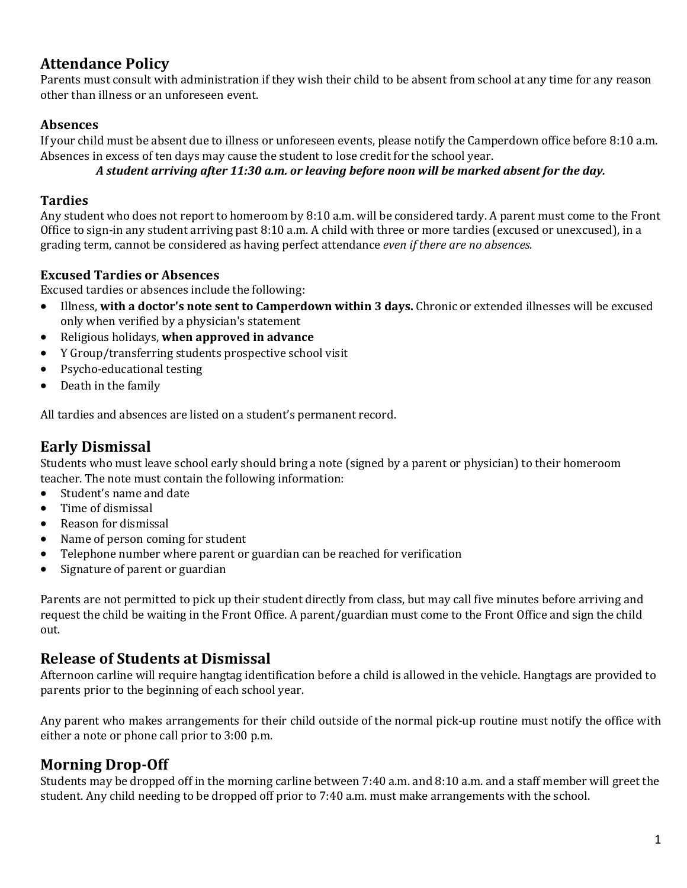## **Attendance Policy**

Parents must consult with administration if they wish their child to be absent from school at any time for any reason other than illness or an unforeseen event.

### **Absences**

If your child must be absent due to illness or unforeseen events, please notify the Camperdown office before 8:10 a.m. Absences in excess of ten days may cause the student to lose credit for the school year.

A student arriving after 11:30 a.m. or leaving before noon will be marked absent for the day.

#### **Tardies**

Any student who does not report to homeroom by  $8:10$  a.m. will be considered tardy. A parent must come to the Front Office to sign-in any student arriving past  $8:10$  a.m. A child with three or more tardies (excused or unexcused), in a grading term, cannot be considered as having perfect attendance *even if there are no absences.* 

### **Excused Tardies or Absences**

Excused tardies or absences include the following:

- Illness, with a doctor's note sent to Camperdown within 3 days. Chronic or extended illnesses will be excused only when verified by a physician's statement
- Religious holidays, when approved in advance
- Y Group/transferring students prospective school visit
- Psycho-educational testing
- Death in the family

All tardies and absences are listed on a student's permanent record.

## **Early Dismissal**

Students who must leave school early should bring a note (signed by a parent or physician) to their homeroom teacher. The note must contain the following information:

- Student's name and date
- Time of dismissal
- Reason for dismissal
- Name of person coming for student
- Telephone number where parent or guardian can be reached for verification
- Signature of parent or guardian

Parents are not permitted to pick up their student directly from class, but may call five minutes before arriving and request the child be waiting in the Front Office. A parent/guardian must come to the Front Office and sign the child out.

## **Release of Students at Dismissal**

Afternoon carline will require hangtag identification before a child is allowed in the vehicle. Hangtags are provided to parents prior to the beginning of each school year.

Any parent who makes arrangements for their child outside of the normal pick-up routine must notify the office with either a note or phone call prior to  $3:00$  p.m.

## **Morning Drop-Off**

Students may be dropped off in the morning carline between  $7:40$  a.m. and  $8:10$  a.m. and a staff member will greet the student. Any child needing to be dropped off prior to 7:40 a.m. must make arrangements with the school.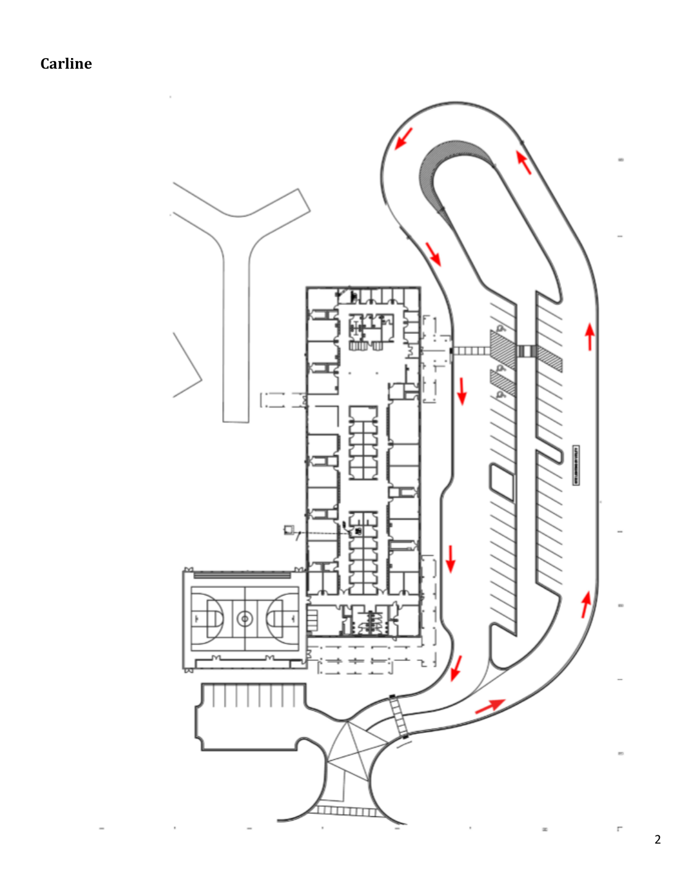**Carline**

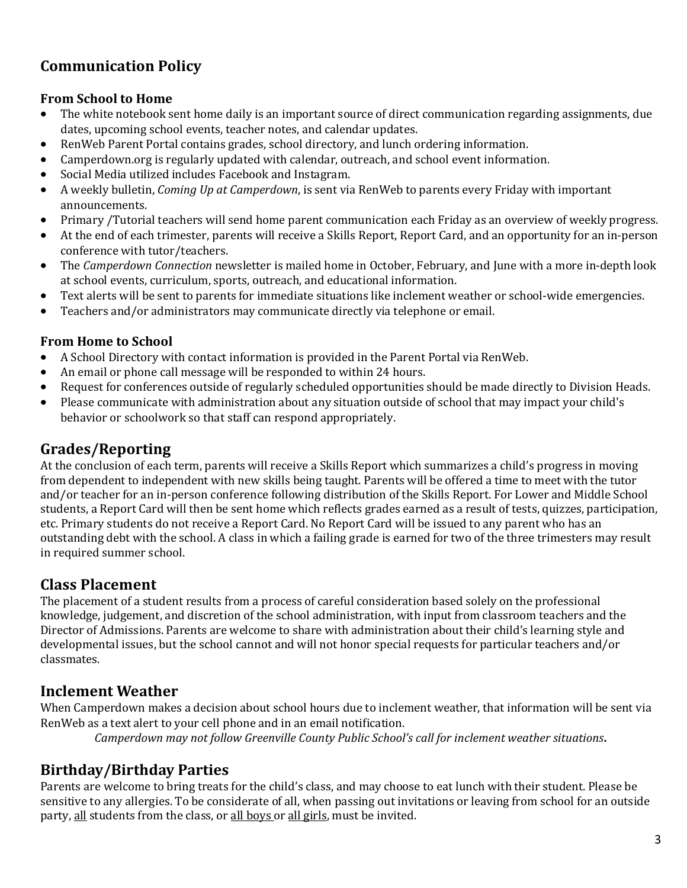## **Communication Policy**

#### **From School to Home**

- The white notebook sent home daily is an important source of direct communication regarding assignments, due dates, upcoming school events, teacher notes, and calendar updates.
- RenWeb Parent Portal contains grades, school directory, and lunch ordering information.
- Camperdown.org is regularly updated with calendar, outreach, and school event information.
- Social Media utilized includes Facebook and Instagram.
- A weekly bulletin, *Coming Up at Camperdown*, is sent via RenWeb to parents every Friday with important announcements.
- Primary /Tutorial teachers will send home parent communication each Friday as an overview of weekly progress.
- At the end of each trimester, parents will receive a Skills Report, Report Card, and an opportunity for an in-person conference with tutor/teachers.
- The *Camperdown Connection* newsletter is mailed home in October, February, and June with a more in-depth look at school events, curriculum, sports, outreach, and educational information.
- Text alerts will be sent to parents for immediate situations like inclement weather or school-wide emergencies.
- Teachers and/or administrators may communicate directly via telephone or email.

#### **From Home to School**

- A School Directory with contact information is provided in the Parent Portal via RenWeb.
- An email or phone call message will be responded to within 24 hours.
- Request for conferences outside of regularly scheduled opportunities should be made directly to Division Heads.
- Please communicate with administration about any situation outside of school that may impact your child's behavior or schoolwork so that staff can respond appropriately.

## **Grades/Reporting**

At the conclusion of each term, parents will receive a Skills Report which summarizes a child's progress in moving from dependent to independent with new skills being taught. Parents will be offered a time to meet with the tutor and/or teacher for an in-person conference following distribution of the Skills Report. For Lower and Middle School students, a Report Card will then be sent home which reflects grades earned as a result of tests, quizzes, participation, etc. Primary students do not receive a Report Card. No Report Card will be issued to any parent who has an outstanding debt with the school. A class in which a failing grade is earned for two of the three trimesters may result in required summer school.

## **Class Placement**

The placement of a student results from a process of careful consideration based solely on the professional knowledge, judgement, and discretion of the school administration, with input from classroom teachers and the Director of Admissions. Parents are welcome to share with administration about their child's learning style and developmental issues, but the school cannot and will not honor special requests for particular teachers and/or classmates. 

## **Inclement Weather**

When Camperdown makes a decision about school hours due to inclement weather, that information will be sent via RenWeb as a text alert to your cell phone and in an email notification.

*Camperdown may not follow Greenville County Public School's call for inclement weather situations.* 

## **Birthday/Birthday Parties**

Parents are welcome to bring treats for the child's class, and may choose to eat lunch with their student. Please be sensitive to any allergies. To be considerate of all, when passing out invitations or leaving from school for an outside party, all students from the class, or all boys or all girls, must be invited.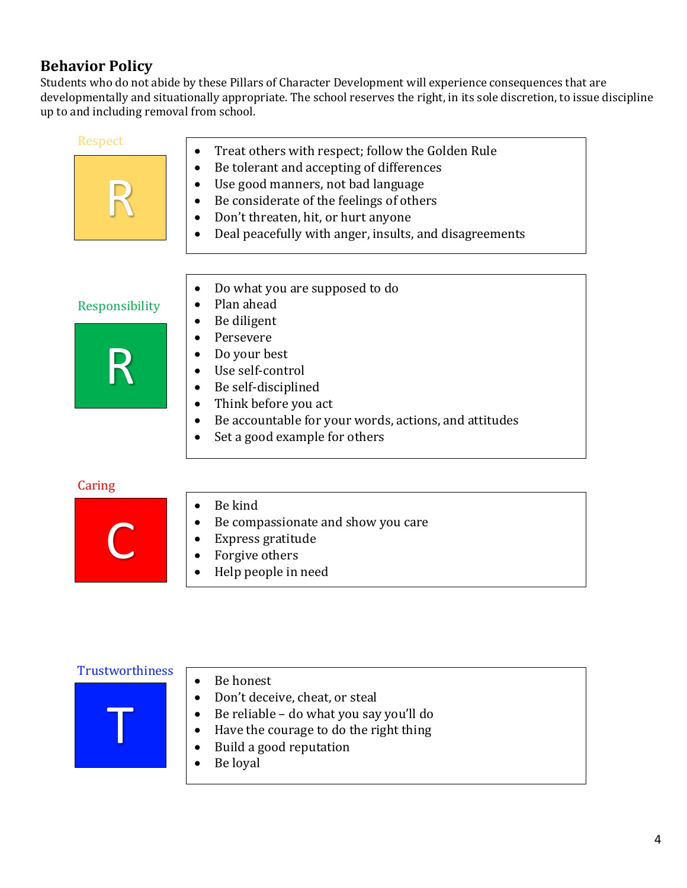## **Behavior Policy**

Students who do not abide by these Pillars of Character Development will experience consequences that are developmentally and situationally appropriate. The school reserves the right, in its sole discretion, to issue discipline up to and including removal from school.

| Respect        | Treat others with respect; follow the Golden Rule      |
|----------------|--------------------------------------------------------|
|                | Be tolerant and accepting of differences<br>٠          |
|                | Use good manners, not bad language                     |
|                | Be considerate of the feelings of others               |
|                | Don't threaten, hit, or hurt anyone                    |
|                | Deal peacefully with anger, insults, and disagreements |
|                |                                                        |
|                | Do what you are supposed to do                         |
| Responsibility | Plan ahead                                             |
|                | Be diligent                                            |
|                | Persevere                                              |
|                | Do your best                                           |
|                | Use self-control                                       |
|                | Be self-disciplined<br>$\bullet$                       |
|                | Think before you act                                   |
|                | Be accountable for your words, actions, and attitudes  |
|                | Set a good example for others                          |
| Caring         |                                                        |
|                | Be kind<br>$\bullet$                                   |
|                | Be compassionate and show you care                     |
|                | Express gratitude                                      |
|                | Forgive others                                         |
|                | المممسسا والمعمس والملل                                |

- Express gratitude
- Forgive others
- Help people in need

#### **Trustworthiness**

- T
- Be honest
- Don't deceive, cheat, or steal
- Be reliable do what you say you'll do
- Have the courage to do the right thing
- Build a good reputation
- $\bullet$  Be loyal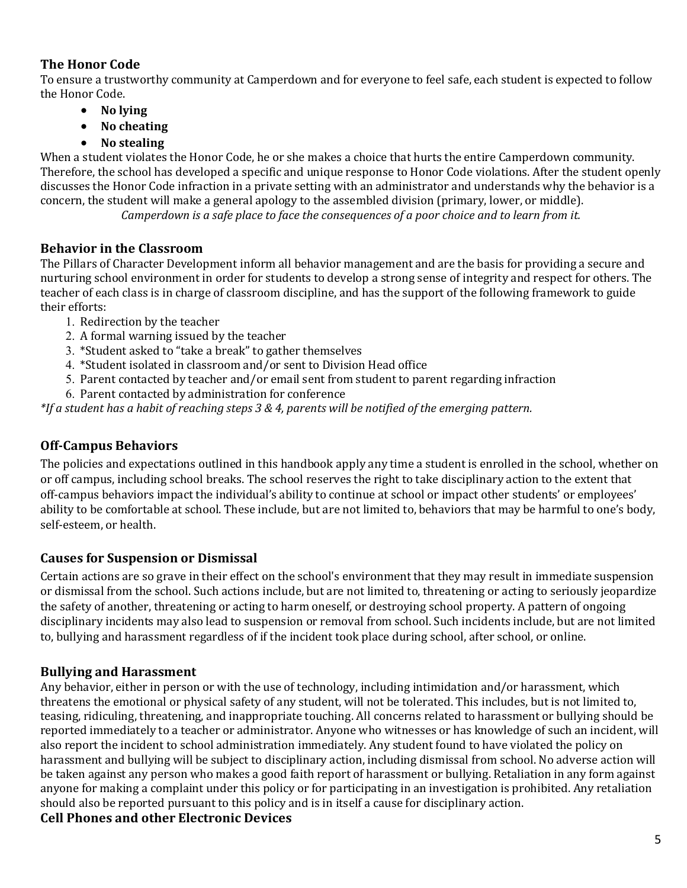#### **The Honor Code**

To ensure a trustworthy community at Camperdown and for everyone to feel safe, each student is expected to follow the Honor Code.

- **No lying**
- **No cheating**
- **No stealing**

When a student violates the Honor Code, he or she makes a choice that hurts the entire Camperdown community. Therefore, the school has developed a specific and unique response to Honor Code violations. After the student openly discusses the Honor Code infraction in a private setting with an administrator and understands why the behavior is a concern, the student will make a general apology to the assembled division (primary, lower, or middle).

*Camperdown is a safe place to face the consequences of a poor choice and to learn from it.* 

#### **Behavior in the Classroom**

The Pillars of Character Development inform all behavior management and are the basis for providing a secure and nurturing school environment in order for students to develop a strong sense of integrity and respect for others. The teacher of each class is in charge of classroom discipline, and has the support of the following framework to guide their efforts:

- 1. Redirection by the teacher
- 2. A formal warning issued by the teacher
- 3. \*Student asked to "take a break" to gather themselves
- 4. \*Student isolated in classroom and/or sent to Division Head office
- 5. Parent contacted by teacher and/or email sent from student to parent regarding infraction
- 6. Parent contacted by administration for conference

*\*If a student has a habit of reaching steps 3 & 4, parents will be notified of the emerging pattern.*

#### **Off-Campus Behaviors**

The policies and expectations outlined in this handbook apply any time a student is enrolled in the school, whether on or off campus, including school breaks. The school reserves the right to take disciplinary action to the extent that off-campus behaviors impact the individual's ability to continue at school or impact other students' or employees' ability to be comfortable at school. These include, but are not limited to, behaviors that may be harmful to one's body, self-esteem, or health.

#### **Causes for Suspension or Dismissal**

Certain actions are so grave in their effect on the school's environment that they may result in immediate suspension or dismissal from the school. Such actions include, but are not limited to, threatening or acting to seriously jeopardize the safety of another, threatening or acting to harm oneself, or destroying school property. A pattern of ongoing disciplinary incidents may also lead to suspension or removal from school. Such incidents include, but are not limited to, bullying and harassment regardless of if the incident took place during school, after school, or online.

#### **Bullying and Harassment**

Any behavior, either in person or with the use of technology, including intimidation and/or harassment, which threatens the emotional or physical safety of any student, will not be tolerated. This includes, but is not limited to, teasing, ridiculing, threatening, and inappropriate touching. All concerns related to harassment or bullying should be reported immediately to a teacher or administrator. Anyone who witnesses or has knowledge of such an incident, will also report the incident to school administration immediately. Any student found to have violated the policy on harassment and bullying will be subject to disciplinary action, including dismissal from school. No adverse action will be taken against any person who makes a good faith report of harassment or bullying. Retaliation in any form against anyone for making a complaint under this policy or for participating in an investigation is prohibited. Any retaliation should also be reported pursuant to this policy and is in itself a cause for disciplinary action.

#### **Cell Phones and other Electronic Devices**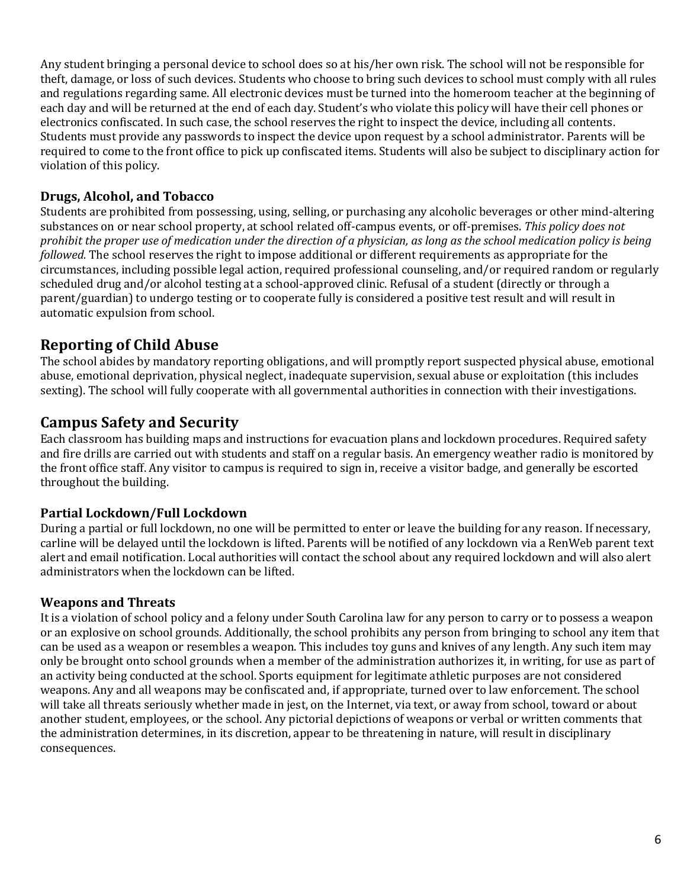Any student bringing a personal device to school does so at his/her own risk. The school will not be responsible for theft, damage, or loss of such devices. Students who choose to bring such devices to school must comply with all rules and regulations regarding same. All electronic devices must be turned into the homeroom teacher at the beginning of each day and will be returned at the end of each day. Student's who violate this policy will have their cell phones or electronics confiscated. In such case, the school reserves the right to inspect the device, including all contents. Students must provide any passwords to inspect the device upon request by a school administrator. Parents will be required to come to the front office to pick up confiscated items. Students will also be subject to disciplinary action for violation of this policy.

#### **Drugs, Alcohol, and Tobacco**

Students are prohibited from possessing, using, selling, or purchasing any alcoholic beverages or other mind-altering substances on or near school property, at school related off-campus events, or off-premises. This policy does not prohibit the proper use of medication under the direction of a physician, as long as the school medication policy is being *followed*. The school reserves the right to impose additional or different requirements as appropriate for the circumstances, including possible legal action, required professional counseling, and/or required random or regularly scheduled drug and/or alcohol testing at a school-approved clinic. Refusal of a student (directly or through a parent/guardian) to undergo testing or to cooperate fully is considered a positive test result and will result in automatic expulsion from school.

## **Reporting of Child Abuse**

The school abides by mandatory reporting obligations, and will promptly report suspected physical abuse, emotional abuse, emotional deprivation, physical neglect, inadequate supervision, sexual abuse or exploitation (this includes sexting). The school will fully cooperate with all governmental authorities in connection with their investigations.

## **Campus Safety and Security**

Each classroom has building maps and instructions for evacuation plans and lockdown procedures. Required safety and fire drills are carried out with students and staff on a regular basis. An emergency weather radio is monitored by the front office staff. Any visitor to campus is required to sign in, receive a visitor badge, and generally be escorted throughout the building.

#### **Partial Lockdown/Full Lockdown**

During a partial or full lockdown, no one will be permitted to enter or leave the building for any reason. If necessary, carline will be delayed until the lockdown is lifted. Parents will be notified of any lockdown via a RenWeb parent text alert and email notification. Local authorities will contact the school about any required lockdown and will also alert administrators when the lockdown can be lifted.

#### **Weapons and Threats**

It is a violation of school policy and a felony under South Carolina law for any person to carry or to possess a weapon or an explosive on school grounds. Additionally, the school prohibits any person from bringing to school any item that can be used as a weapon or resembles a weapon. This includes toy guns and knives of any length. Any such item may only be brought onto school grounds when a member of the administration authorizes it, in writing, for use as part of an activity being conducted at the school. Sports equipment for legitimate athletic purposes are not considered weapons. Any and all weapons may be confiscated and, if appropriate, turned over to law enforcement. The school will take all threats seriously whether made in jest, on the Internet, via text, or away from school, toward or about another student, employees, or the school. Any pictorial depictions of weapons or verbal or written comments that the administration determines, in its discretion, appear to be threatening in nature, will result in disciplinary consequences.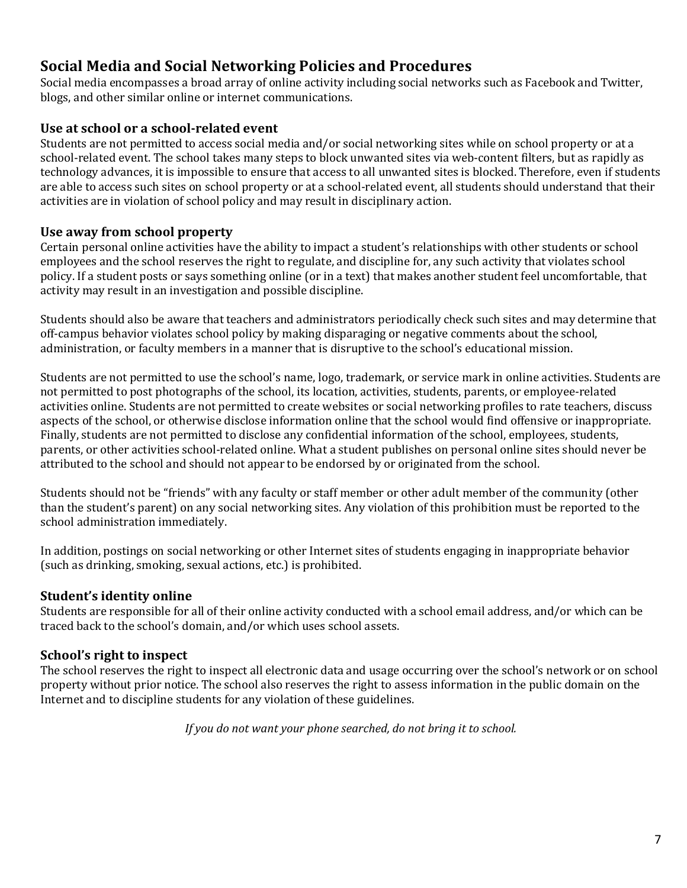## **Social Media and Social Networking Policies and Procedures**

Social media encompasses a broad array of online activity including social networks such as Facebook and Twitter, blogs, and other similar online or internet communications.

#### **Use at school or a school-related event**

Students are not permitted to access social media and/or social networking sites while on school property or at a school-related event. The school takes many steps to block unwanted sites via web-content filters, but as rapidly as technology advances, it is impossible to ensure that access to all unwanted sites is blocked. Therefore, even if students are able to access such sites on school property or at a school-related event, all students should understand that their activities are in violation of school policy and may result in disciplinary action.

#### Use away from school property

Certain personal online activities have the ability to impact a student's relationships with other students or school employees and the school reserves the right to regulate, and discipline for, any such activity that violates school policy. If a student posts or says something online (or in a text) that makes another student feel uncomfortable, that activity may result in an investigation and possible discipline.

Students should also be aware that teachers and administrators periodically check such sites and may determine that off-campus behavior violates school policy by making disparaging or negative comments about the school, administration, or faculty members in a manner that is disruptive to the school's educational mission.

Students are not permitted to use the school's name, logo, trademark, or service mark in online activities. Students are not permitted to post photographs of the school, its location, activities, students, parents, or employee-related activities online. Students are not permitted to create websites or social networking profiles to rate teachers, discuss aspects of the school, or otherwise disclose information online that the school would find offensive or inappropriate. Finally, students are not permitted to disclose any confidential information of the school, employees, students, parents, or other activities school-related online. What a student publishes on personal online sites should never be attributed to the school and should not appear to be endorsed by or originated from the school.

Students should not be "friends" with any faculty or staff member or other adult member of the community (other than the student's parent) on any social networking sites. Any violation of this prohibition must be reported to the school administration immediately.

In addition, postings on social networking or other Internet sites of students engaging in inappropriate behavior (such as drinking, smoking, sexual actions, etc.) is prohibited.

#### **Student's identity online**

Students are responsible for all of their online activity conducted with a school email address, and/or which can be traced back to the school's domain, and/or which uses school assets.

## **School's right to inspect**

The school reserves the right to inspect all electronic data and usage occurring over the school's network or on school property without prior notice. The school also reserves the right to assess information in the public domain on the Internet and to discipline students for any violation of these guidelines.

If you do not want your phone searched, do not bring it to school.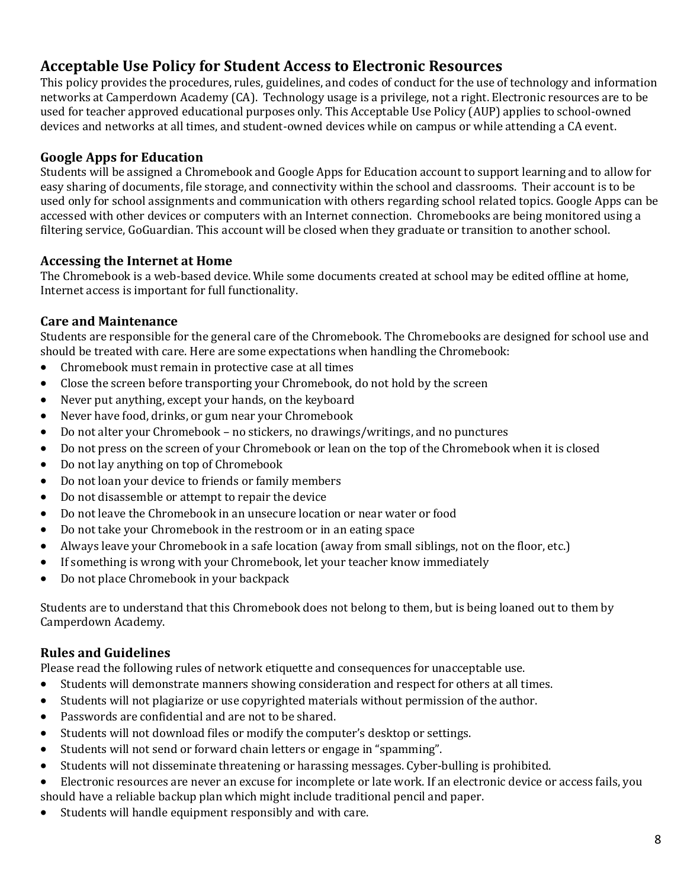## **Acceptable Use Policy for Student Access to Electronic Resources**

This policy provides the procedures, rules, guidelines, and codes of conduct for the use of technology and information networks at Camperdown Academy (CA). Technology usage is a privilege, not a right. Electronic resources are to be used for teacher approved educational purposes only. This Acceptable Use Policy (AUP) applies to school-owned devices and networks at all times, and student-owned devices while on campus or while attending a CA event.

#### **Google Apps for Education**

Students will be assigned a Chromebook and Google Apps for Education account to support learning and to allow for easy sharing of documents, file storage, and connectivity within the school and classrooms. Their account is to be used only for school assignments and communication with others regarding school related topics. Google Apps can be accessed with other devices or computers with an Internet connection. Chromebooks are being monitored using a filtering service, GoGuardian. This account will be closed when they graduate or transition to another school.

#### Accessing the Internet at Home

The Chromebook is a web-based device. While some documents created at school may be edited offline at home, Internet access is important for full functionality.

#### **Care and Maintenance**

Students are responsible for the general care of the Chromebook. The Chromebooks are designed for school use and should be treated with care. Here are some expectations when handling the Chromebook:

- Chromebook must remain in protective case at all times
- Close the screen before transporting your Chromebook, do not hold by the screen
- Never put anything, except your hands, on the keyboard
- Never have food, drinks, or gum near your Chromebook
- Do not alter your Chromebook no stickers, no drawings/writings, and no punctures
- Do not press on the screen of your Chromebook or lean on the top of the Chromebook when it is closed
- Do not lay anything on top of Chromebook
- Do not loan your device to friends or family members
- Do not disassemble or attempt to repair the device
- Do not leave the Chromebook in an unsecure location or near water or food
- Do not take your Chromebook in the restroom or in an eating space
- Always leave your Chromebook in a safe location (away from small siblings, not on the floor, etc.)
- If something is wrong with your Chromebook, let your teacher know immediately
- Do not place Chromebook in your backpack

Students are to understand that this Chromebook does not belong to them, but is being loaned out to them by Camperdown Academy.

#### **Rules and Guidelines**

Please read the following rules of network etiquette and consequences for unacceptable use.

- Students will demonstrate manners showing consideration and respect for others at all times.
- Students will not plagiarize or use copyrighted materials without permission of the author.
- Passwords are confidential and are not to be shared.
- Students will not download files or modify the computer's desktop or settings.
- Students will not send or forward chain letters or engage in "spamming".
- Students will not disseminate threatening or harassing messages. Cyber-bulling is prohibited.
- Electronic resources are never an excuse for incomplete or late work. If an electronic device or access fails, you should have a reliable backup plan which might include traditional pencil and paper.
- Students will handle equipment responsibly and with care.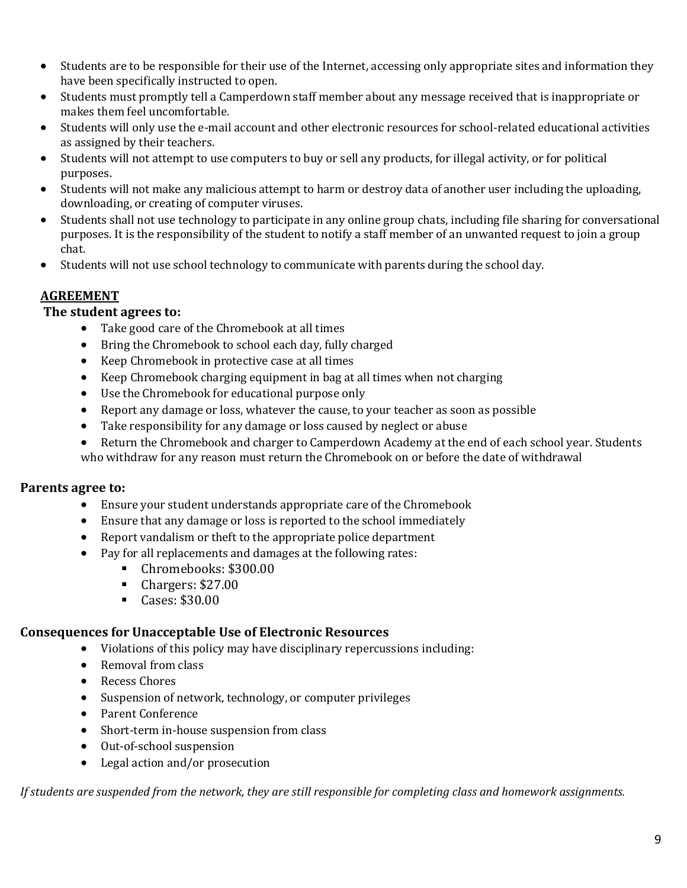- Students are to be responsible for their use of the Internet, accessing only appropriate sites and information they have been specifically instructed to open.
- Students must promptly tell a Camperdown staff member about any message received that is inappropriate or makes them feel uncomfortable.
- Students will only use the e-mail account and other electronic resources for school-related educational activities as assigned by their teachers.
- Students will not attempt to use computers to buy or sell any products, for illegal activity, or for political purposes.
- Students will not make any malicious attempt to harm or destroy data of another user including the uploading, downloading, or creating of computer viruses.
- Students shall not use technology to participate in any online group chats, including file sharing for conversational purposes. It is the responsibility of the student to notify a staff member of an unwanted request to join a group chat.
- Students will not use school technology to communicate with parents during the school day.

## **AGREEMENT**

#### The student agrees to:

- Take good care of the Chromebook at all times
- Bring the Chromebook to school each day, fully charged
- Keep Chromebook in protective case at all times
- Keep Chromebook charging equipment in bag at all times when not charging
- Use the Chromebook for educational purpose only
- Report any damage or loss, whatever the cause, to your teacher as soon as possible
- Take responsibility for any damage or loss caused by neglect or abuse
- Return the Chromebook and charger to Camperdown Academy at the end of each school year. Students who withdraw for any reason must return the Chromebook on or before the date of withdrawal

#### **Parents agree to:**

- Ensure your student understands appropriate care of the Chromebook
- $\bullet$  Ensure that any damage or loss is reported to the school immediately
- Report vandalism or theft to the appropriate police department
- Pay for all replacements and damages at the following rates:
	- Chromebooks: \$300.00
	- Chargers: \$27.00
	- Cases: \$30.00

#### **Consequences for Unacceptable Use of Electronic Resources**

- $\bullet$  Violations of this policy may have disciplinary repercussions including:
- Removal from class
- Recess Chores
- Suspension of network, technology, or computer privileges
- Parent Conference
- Short-term in-house suspension from class
- Out-of-school suspension
- Legal action and/or prosecution

*If* students are suspended from the network, they are still responsible for completing class and homework assignments.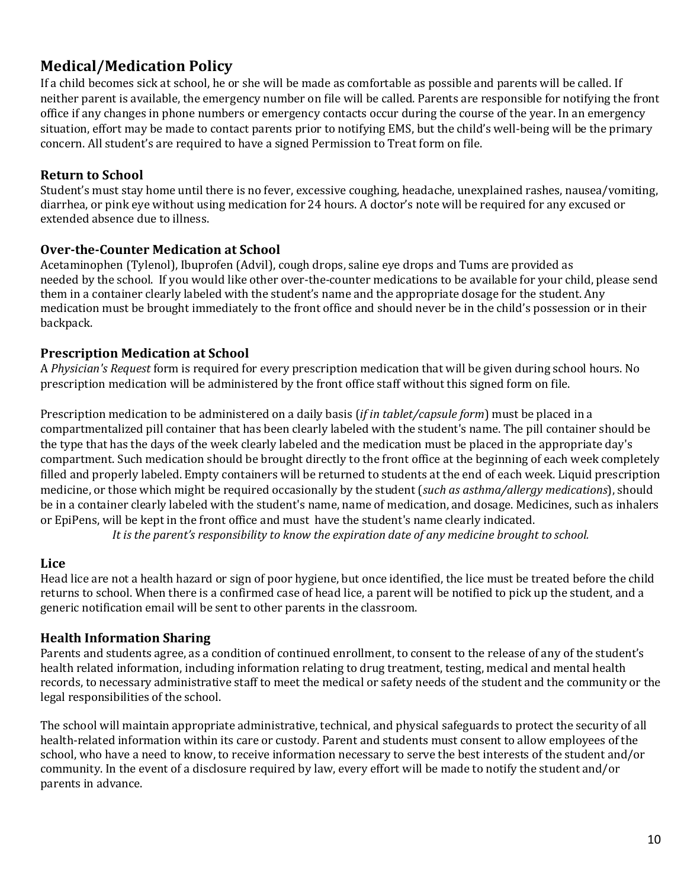## **Medical/Medication Policy**

If a child becomes sick at school, he or she will be made as comfortable as possible and parents will be called. If neither parent is available, the emergency number on file will be called. Parents are responsible for notifying the front office if any changes in phone numbers or emergency contacts occur during the course of the year. In an emergency situation, effort may be made to contact parents prior to notifying EMS, but the child's well-being will be the primary concern. All student's are required to have a signed Permission to Treat form on file.

#### **Return to School**

Student's must stay home until there is no fever, excessive coughing, headache, unexplained rashes, nausea/vomiting, diarrhea, or pink eye without using medication for 24 hours. A doctor's note will be required for any excused or extended absence due to illness.

#### **Over-the-Counter Medication at School**

Acetaminophen (Tylenol), Ibuprofen (Advil), cough drops, saline eye drops and Tums are provided as needed by the school. If you would like other over-the-counter medications to be available for your child, please send them in a container clearly labeled with the student's name and the appropriate dosage for the student. Any medication must be brought immediately to the front office and should never be in the child's possession or in their backpack.

#### **Prescription Medication at School**

A *Physician's Request* form is required for every prescription medication that will be given during school hours. No prescription medication will be administered by the front office staff without this signed form on file.

Prescription medication to be administered on a daily basis (*if in tablet/capsule form*) must be placed in a compartmentalized pill container that has been clearly labeled with the student's name. The pill container should be the type that has the days of the week clearly labeled and the medication must be placed in the appropriate day's compartment. Such medication should be brought directly to the front office at the beginning of each week completely filled and properly labeled. Empty containers will be returned to students at the end of each week. Liquid prescription medicine, or those which might be required occasionally by the student (*such as asthma/allergy medications*), should be in a container clearly labeled with the student's name, name of medication, and dosage. Medicines, such as inhalers or EpiPens, will be kept in the front office and must have the student's name clearly indicated.

It is the parent's responsibility to know the expiration date of any medicine brought to school.

#### **Lice**

Head lice are not a health hazard or sign of poor hygiene, but once identified, the lice must be treated before the child returns to school. When there is a confirmed case of head lice, a parent will be notified to pick up the student, and a generic notification email will be sent to other parents in the classroom.

#### **Health Information Sharing**

Parents and students agree, as a condition of continued enrollment, to consent to the release of any of the student's health related information, including information relating to drug treatment, testing, medical and mental health records, to necessary administrative staff to meet the medical or safety needs of the student and the community or the legal responsibilities of the school.

The school will maintain appropriate administrative, technical, and physical safeguards to protect the security of all health-related information within its care or custody. Parent and students must consent to allow employees of the school, who have a need to know, to receive information necessary to serve the best interests of the student and/or community. In the event of a disclosure required by law, every effort will be made to notify the student and/or parents in advance.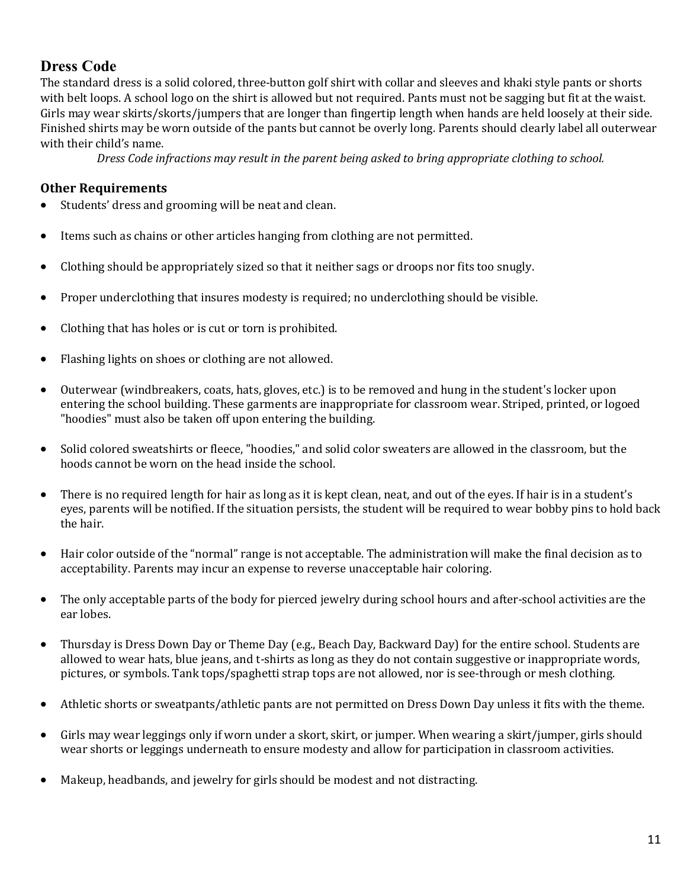## **Dress Code**

The standard dress is a solid colored, three-button golf shirt with collar and sleeves and khaki style pants or shorts with belt loops. A school logo on the shirt is allowed but not required. Pants must not be sagging but fit at the waist. Girls may wear skirts/skorts/jumpers that are longer than fingertip length when hands are held loosely at their side. Finished shirts may be worn outside of the pants but cannot be overly long. Parents should clearly label all outerwear with their child's name.

*Dress* Code infractions may result in the parent being asked to bring appropriate clothing to school.

#### **Other Requirements**

- Students' dress and grooming will be neat and clean.
- Items such as chains or other articles hanging from clothing are not permitted.
- Clothing should be appropriately sized so that it neither sags or droops nor fits too snugly.
- Proper underclothing that insures modesty is required; no underclothing should be visible.
- Clothing that has holes or is cut or torn is prohibited.
- Flashing lights on shoes or clothing are not allowed.
- Outerwear (windbreakers, coats, hats, gloves, etc.) is to be removed and hung in the student's locker upon entering the school building. These garments are inappropriate for classroom wear. Striped, printed, or logoed "hoodies" must also be taken off upon entering the building.
- Solid colored sweatshirts or fleece, "hoodies," and solid color sweaters are allowed in the classroom, but the hoods cannot be worn on the head inside the school.
- There is no required length for hair as long as it is kept clean, neat, and out of the eyes. If hair is in a student's eyes, parents will be notified. If the situation persists, the student will be required to wear bobby pins to hold back the hair.
- Hair color outside of the "normal" range is not acceptable. The administration will make the final decision as to acceptability. Parents may incur an expense to reverse unacceptable hair coloring.
- The only acceptable parts of the body for pierced jewelry during school hours and after-school activities are the ear lobes.
- Thursday is Dress Down Day or Theme Day (e.g., Beach Day, Backward Day) for the entire school. Students are allowed to wear hats, blue jeans, and t-shirts as long as they do not contain suggestive or inappropriate words, pictures, or symbols. Tank tops/spaghetti strap tops are not allowed, nor is see-through or mesh clothing.
- Athletic shorts or sweatpants/athletic pants are not permitted on Dress Down Day unless it fits with the theme.
- Girls may wear leggings only if worn under a skort, skirt, or jumper. When wearing a skirt/jumper, girls should wear shorts or leggings underneath to ensure modesty and allow for participation in classroom activities.
- Makeup, headbands, and jewelry for girls should be modest and not distracting.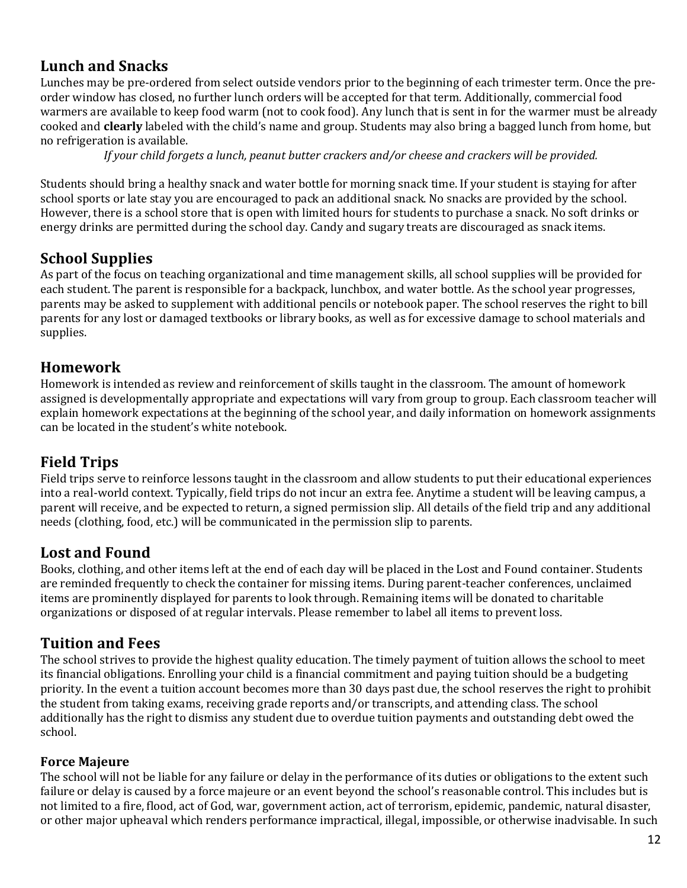## **Lunch and Snacks**

Lunches may be pre-ordered from select outside vendors prior to the beginning of each trimester term. Once the preorder window has closed, no further lunch orders will be accepted for that term. Additionally, commercial food warmers are available to keep food warm (not to cook food). Any lunch that is sent in for the warmer must be already cooked and **clearly** labeled with the child's name and group. Students may also bring a bagged lunch from home, but no refrigeration is available.

*If* your child forgets a lunch, peanut butter crackers and/or cheese and crackers will be provided.

Students should bring a healthy snack and water bottle for morning snack time. If your student is staying for after school sports or late stay you are encouraged to pack an additional snack. No snacks are provided by the school. However, there is a school store that is open with limited hours for students to purchase a snack. No soft drinks or energy drinks are permitted during the school day. Candy and sugary treats are discouraged as snack items.

## **School Supplies**

As part of the focus on teaching organizational and time management skills, all school supplies will be provided for each student. The parent is responsible for a backpack, lunchbox, and water bottle. As the school year progresses, parents may be asked to supplement with additional pencils or notebook paper. The school reserves the right to bill parents for any lost or damaged textbooks or library books, as well as for excessive damage to school materials and supplies. 

## **Homework**

Homework is intended as review and reinforcement of skills taught in the classroom. The amount of homework assigned is developmentally appropriate and expectations will vary from group to group. Each classroom teacher will explain homework expectations at the beginning of the school year, and daily information on homework assignments can be located in the student's white notebook.

## **Field Trips**

Field trips serve to reinforce lessons taught in the classroom and allow students to put their educational experiences into a real-world context. Typically, field trips do not incur an extra fee. Anytime a student will be leaving campus, a parent will receive, and be expected to return, a signed permission slip. All details of the field trip and any additional needs (clothing, food, etc.) will be communicated in the permission slip to parents.

## Lost and Found

Books, clothing, and other items left at the end of each day will be placed in the Lost and Found container. Students are reminded frequently to check the container for missing items. During parent-teacher conferences, unclaimed items are prominently displayed for parents to look through. Remaining items will be donated to charitable organizations or disposed of at regular intervals. Please remember to label all items to prevent loss.

## **Tuition and Fees**

The school strives to provide the highest quality education. The timely payment of tuition allows the school to meet its financial obligations. Enrolling your child is a financial commitment and paying tuition should be a budgeting priority. In the event a tuition account becomes more than 30 days past due, the school reserves the right to prohibit the student from taking exams, receiving grade reports and/or transcripts, and attending class. The school additionally has the right to dismiss any student due to overdue tuition payments and outstanding debt owed the school.

#### **Force Majeure**

The school will not be liable for any failure or delay in the performance of its duties or obligations to the extent such failure or delay is caused by a force majeure or an event beyond the school's reasonable control. This includes but is not limited to a fire, flood, act of God, war, government action, act of terrorism, epidemic, pandemic, natural disaster, or other major upheaval which renders performance impractical, illegal, impossible, or otherwise inadvisable. In such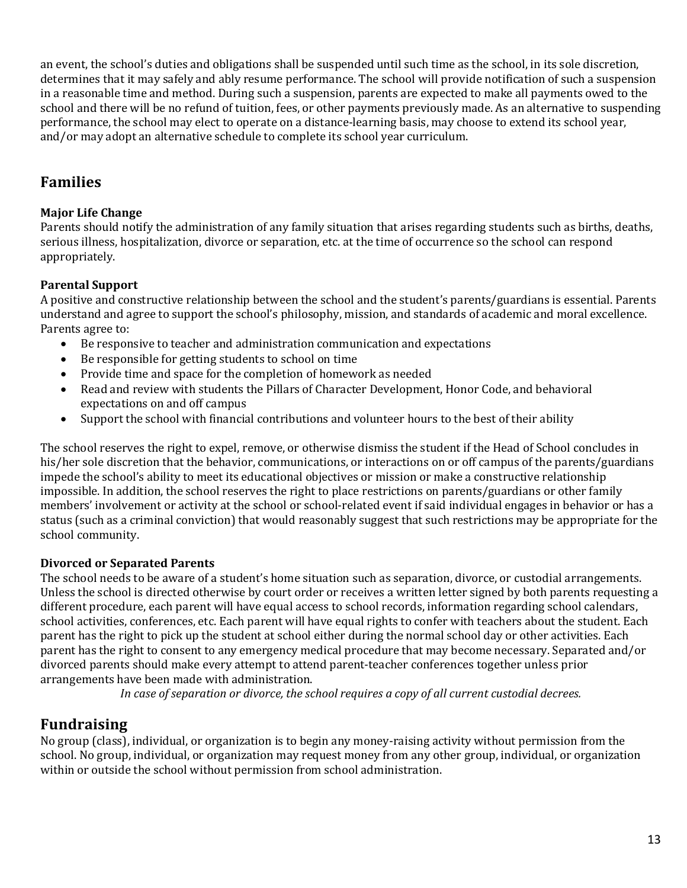an event, the school's duties and obligations shall be suspended until such time as the school, in its sole discretion, determines that it may safely and ably resume performance. The school will provide notification of such a suspension in a reasonable time and method. During such a suspension, parents are expected to make all payments owed to the school and there will be no refund of tuition, fees, or other payments previously made. As an alternative to suspending performance, the school may elect to operate on a distance-learning basis, may choose to extend its school year, and/or may adopt an alternative schedule to complete its school year curriculum.

## **Families**

#### **Major Life Change**

Parents should notify the administration of any family situation that arises regarding students such as births, deaths, serious illness, hospitalization, divorce or separation, etc. at the time of occurrence so the school can respond appropriately. 

#### **Parental Support**

A positive and constructive relationship between the school and the student's parents/guardians is essential. Parents understand and agree to support the school's philosophy, mission, and standards of academic and moral excellence. Parents agree to:

- Be responsive to teacher and administration communication and expectations
- Be responsible for getting students to school on time
- Provide time and space for the completion of homework as needed
- Read and review with students the Pillars of Character Development, Honor Code, and behavioral expectations on and off campus
- Support the school with financial contributions and volunteer hours to the best of their ability

The school reserves the right to expel, remove, or otherwise dismiss the student if the Head of School concludes in his/her sole discretion that the behavior, communications, or interactions on or off campus of the parents/guardians impede the school's ability to meet its educational objectives or mission or make a constructive relationship impossible. In addition, the school reserves the right to place restrictions on parents/guardians or other family members' involvement or activity at the school or school-related event if said individual engages in behavior or has a status (such as a criminal conviction) that would reasonably suggest that such restrictions may be appropriate for the school community.

#### **Divorced or Separated Parents**

The school needs to be aware of a student's home situation such as separation, divorce, or custodial arrangements. Unless the school is directed otherwise by court order or receives a written letter signed by both parents requesting a different procedure, each parent will have equal access to school records, information regarding school calendars, school activities, conferences, etc. Each parent will have equal rights to confer with teachers about the student. Each parent has the right to pick up the student at school either during the normal school day or other activities. Each parent has the right to consent to any emergency medical procedure that may become necessary. Separated and/or divorced parents should make every attempt to attend parent-teacher conferences together unless prior arrangements have been made with administration.

In case of separation or divorce, the school requires a copy of all current custodial decrees.

## **Fundraising**

No group (class), individual, or organization is to begin any money-raising activity without permission from the school. No group, individual, or organization may request money from any other group, individual, or organization within or outside the school without permission from school administration.